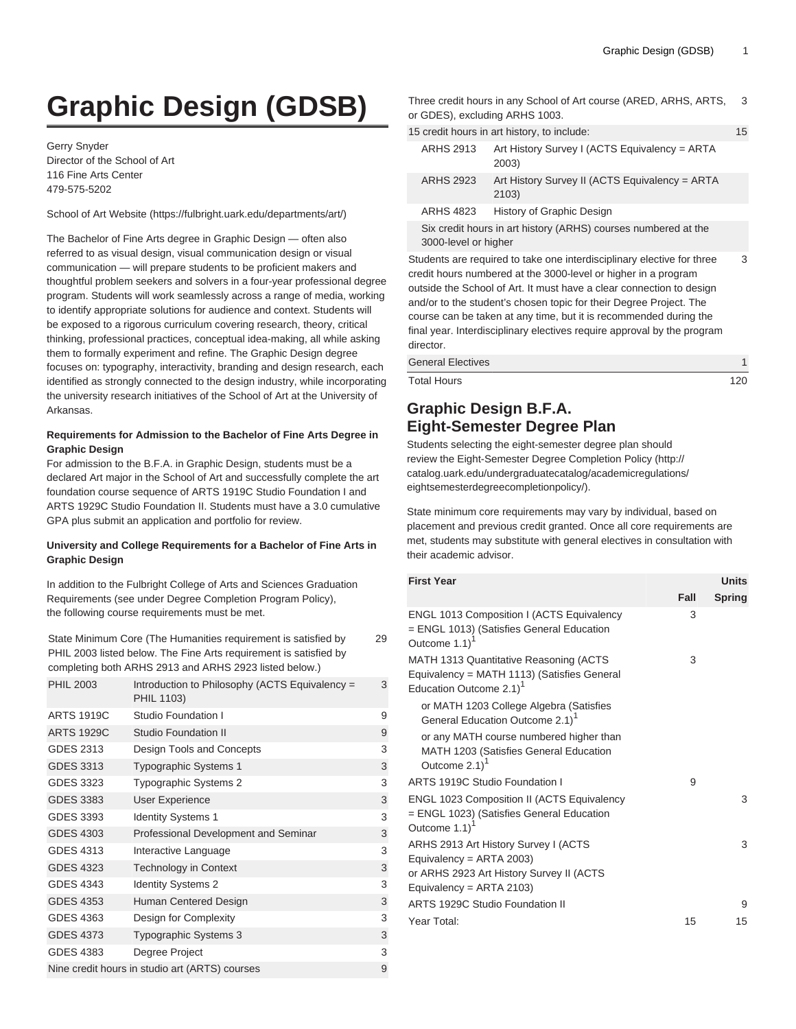# **Graphic Design (GDSB)**

Gerry Snyder Director of the School of Art 116 Fine Arts Center 479-575-5202

[School of Art Website](https://fulbright.uark.edu/departments/art/) (<https://fulbright.uark.edu/departments/art/>)

The Bachelor of Fine Arts degree in Graphic Design — often also referred to as visual design, visual communication design or visual communication — will prepare students to be proficient makers and thoughtful problem seekers and solvers in a four-year professional degree program. Students will work seamlessly across a range of media, working to identify appropriate solutions for audience and context. Students will be exposed to a rigorous curriculum covering research, theory, critical thinking, professional practices, conceptual idea-making, all while asking them to formally experiment and refine. The Graphic Design degree focuses on: typography, interactivity, branding and design research, each identified as strongly connected to the design industry, while incorporating the university research initiatives of the School of Art at the University of Arkansas.

## **Requirements for Admission to the Bachelor of Fine Arts Degree in Graphic Design**

For admission to the B.F.A. in Graphic Design, students must be a declared Art major in the School of Art and successfully complete the art foundation course sequence of ARTS 1919C Studio Foundation I and ARTS 1929C Studio Foundation II. Students must have a 3.0 cumulative GPA plus submit an application and portfolio for review.

# **University and College Requirements for a Bachelor of Fine Arts in Graphic Design**

In addition to the Fulbright College of Arts and Sciences Graduation Requirements (see under Degree Completion Program Policy), the following course requirements must be met.

| State Minimum Core (The Humanities requirement is satisfied by<br>29<br>PHIL 2003 listed below. The Fine Arts requirement is satisfied by<br>completing both ARHS 2913 and ARHS 2923 listed below.) |                                                              |   |  |
|-----------------------------------------------------------------------------------------------------------------------------------------------------------------------------------------------------|--------------------------------------------------------------|---|--|
| <b>PHIL 2003</b>                                                                                                                                                                                    | Introduction to Philosophy (ACTS Equivalency =<br>PHIL 1103) | 3 |  |
| <b>ARTS 1919C</b>                                                                                                                                                                                   | Studio Foundation I                                          | 9 |  |
| <b>ARTS 1929C</b>                                                                                                                                                                                   | <b>Studio Foundation II</b>                                  | 9 |  |
| GDES 2313                                                                                                                                                                                           | Design Tools and Concepts                                    | 3 |  |
| <b>GDES 3313</b>                                                                                                                                                                                    | <b>Typographic Systems 1</b>                                 | 3 |  |
| <b>GDES 3323</b>                                                                                                                                                                                    | <b>Typographic Systems 2</b>                                 | 3 |  |
| <b>GDES 3383</b>                                                                                                                                                                                    | <b>User Experience</b>                                       | 3 |  |
| <b>GDES 3393</b>                                                                                                                                                                                    | <b>Identity Systems 1</b>                                    | 3 |  |
| <b>GDES 4303</b>                                                                                                                                                                                    | Professional Development and Seminar                         | 3 |  |
| <b>GDES 4313</b>                                                                                                                                                                                    | Interactive Language                                         | 3 |  |
| <b>GDES 4323</b>                                                                                                                                                                                    | <b>Technology in Context</b>                                 | 3 |  |
| <b>GDES 4343</b>                                                                                                                                                                                    | <b>Identity Systems 2</b>                                    | 3 |  |
| <b>GDES 4353</b>                                                                                                                                                                                    | Human Centered Design                                        | 3 |  |
| GDES 4363                                                                                                                                                                                           | Design for Complexity                                        | 3 |  |
| <b>GDES 4373</b>                                                                                                                                                                                    | Typographic Systems 3                                        | 3 |  |
| <b>GDES 4383</b>                                                                                                                                                                                    | Degree Project                                               | 3 |  |
|                                                                                                                                                                                                     | Nine credit hours in studio art (ARTS) courses               | 9 |  |

| Three credit hours in any School of Art course (ARED, ARHS, ARTS, |  |
|-------------------------------------------------------------------|--|
| or GDES), excluding ARHS 1003.                                    |  |

|                      | 15 credit hours in art history, to include:                    | 15 |
|----------------------|----------------------------------------------------------------|----|
| ARHS 2913            | Art History Survey I (ACTS Equivalency = ARTA<br>2003)         |    |
| <b>ARHS 2923</b>     | Art History Survey II (ACTS Equivalency = ARTA<br>2103)        |    |
| <b>ARHS 4823</b>     | History of Graphic Design                                      |    |
| 3000-level or higher | Six credit hours in art history (ARHS) courses numbered at the |    |

Students are required to take one interdisciplinary elective for three credit hours numbered at the 3000-level or higher in a program outside the School of Art. It must have a clear connection to design and/or to the student's chosen topic for their Degree Project. The course can be taken at any time, but it is recommended during the final year. Interdisciplinary electives require approval by the program director. 3

| General Electives  |     |
|--------------------|-----|
| <b>Total Hours</b> | 120 |

# **Graphic Design B.F.A. Eight-Semester Degree Plan**

Students selecting the eight-semester degree plan should review the [Eight-Semester Degree Completion Policy](http://catalog.uark.edu/undergraduatecatalog/academicregulations/eightsemesterdegreecompletionpolicy/) ([http://](http://catalog.uark.edu/undergraduatecatalog/academicregulations/eightsemesterdegreecompletionpolicy/) [catalog.uark.edu/undergraduatecatalog/academicregulations/](http://catalog.uark.edu/undergraduatecatalog/academicregulations/eightsemesterdegreecompletionpolicy/) [eightsemesterdegreecompletionpolicy/\)](http://catalog.uark.edu/undergraduatecatalog/academicregulations/eightsemesterdegreecompletionpolicy/).

State minimum core requirements may vary by individual, based on placement and previous credit granted. Once all core requirements are met, students may substitute with general electives in consultation with their academic advisor.

| <b>First Year</b>                                                                                                                              |      | <b>Units</b>  |
|------------------------------------------------------------------------------------------------------------------------------------------------|------|---------------|
|                                                                                                                                                | Fall | <b>Spring</b> |
| <b>ENGL 1013 Composition I (ACTS Equivalency</b><br>= ENGL 1013) (Satisfies General Education<br>Outcome 1.1) <sup>1</sup>                     | 3    |               |
| MATH 1313 Quantitative Reasoning (ACTS<br>Equivalency = MATH 1113) (Satisfies General<br>Education Outcome 2.1) <sup>1</sup>                   | 3    |               |
| or MATH 1203 College Algebra (Satisfies<br>General Education Outcome 2.1) <sup>1</sup>                                                         |      |               |
| or any MATH course numbered higher than<br>MATH 1203 (Satisfies General Education<br>Outcome 2.1) <sup>1</sup>                                 |      |               |
| ARTS 1919C Studio Foundation I                                                                                                                 | 9    |               |
| <b>ENGL 1023 Composition II (ACTS Equivalency</b><br>= ENGL 1023) (Satisfies General Education<br>Outcome 1.1) <sup>1</sup>                    |      | 3             |
| ARHS 2913 Art History Survey I (ACTS<br>Equivalency = $ARTA 2003$ )<br>or ARHS 2923 Art History Survey II (ACTS<br>Equivalency = $ARTA 2103$ ) |      | 3             |
| ARTS 1929C Studio Foundation II                                                                                                                |      | 9             |
| Year Total:                                                                                                                                    | 15   | 15            |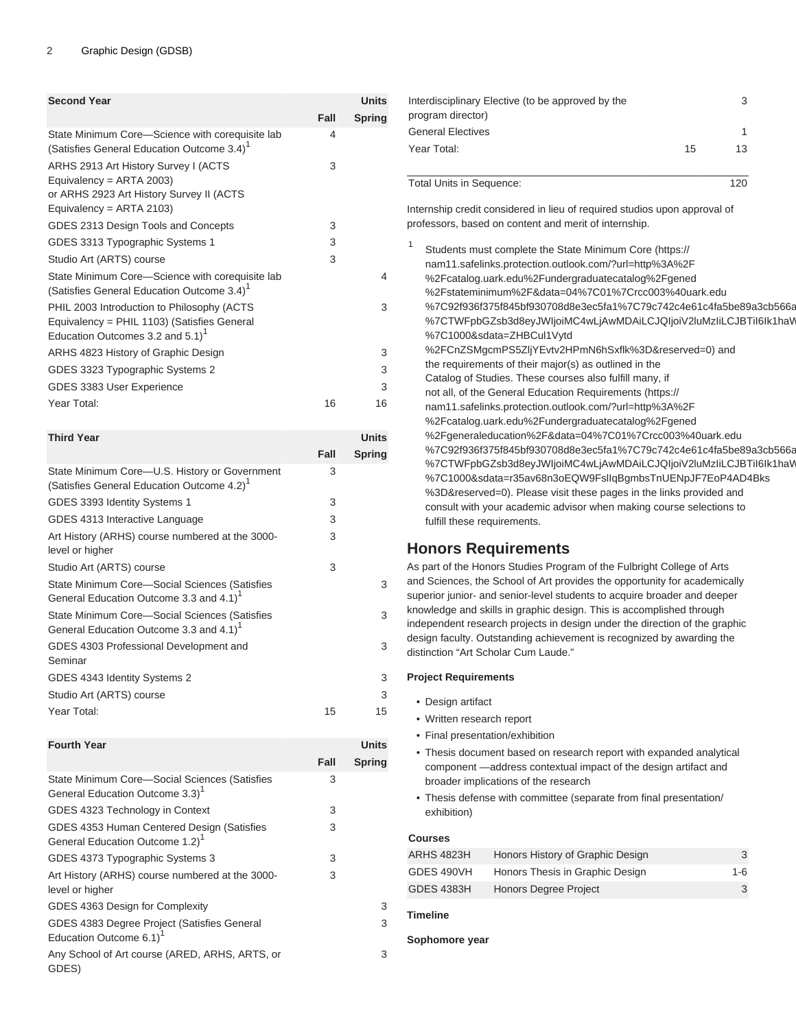| <b>Second Year</b>                                                                                                                        | Fall | Units<br><b>Spring</b> |
|-------------------------------------------------------------------------------------------------------------------------------------------|------|------------------------|
| State Minimum Core-Science with corequisite lab<br>(Satisfies General Education Outcome 3.4) <sup>1</sup>                                 | 4    |                        |
| ARHS 2913 Art History Survey I (ACTS<br>Equivalency = ARTA 2003)<br>or ARHS 2923 Art History Survey II (ACTS                              | 3    |                        |
| Equivalency = ARTA 2103)                                                                                                                  |      |                        |
| GDES 2313 Design Tools and Concepts                                                                                                       | 3    |                        |
| GDES 3313 Typographic Systems 1                                                                                                           | 3    |                        |
| Studio Art (ARTS) course                                                                                                                  | 3    |                        |
| State Minimum Core-Science with corequisite lab<br>(Satisfies General Education Outcome 3.4) <sup>1</sup>                                 |      | 4                      |
| PHIL 2003 Introduction to Philosophy (ACTS<br>Equivalency = PHIL 1103) (Satisfies General<br>Education Outcomes 3.2 and 5.1) <sup>1</sup> |      | 3                      |
| ARHS 4823 History of Graphic Design                                                                                                       |      | 3                      |
| GDES 3323 Typographic Systems 2                                                                                                           |      | 3                      |
| GDES 3383 User Experience                                                                                                                 |      | 3                      |
| Year Total:                                                                                                                               | 16   | 16                     |
| <b>Third Year</b>                                                                                                                         |      | <b>Units</b>           |
|                                                                                                                                           | Fall | <b>Spring</b>          |
| State Minimum Core-U.S. History or Government<br>(Satisfies General Education Outcome 4.2) <sup>1</sup>                                   | 3    |                        |
| GDES 3393 Identity Systems 1                                                                                                              | 3    |                        |
| GDES 4313 Interactive Language                                                                                                            | 3    |                        |
| Art History (ARHS) course numbered at the 3000-<br>level or higher                                                                        | 3    |                        |
| Studio Art (ARTS) course                                                                                                                  | 3    |                        |
| State Minimum Core-Social Sciences (Satisfies<br>General Education Outcome 3.3 and 4.1) <sup>1</sup>                                      |      | 3                      |
| State Minimum Core-Social Sciences (Satisfies<br>General Education Outcome 3.3 and 4.1) <sup>1</sup>                                      |      | 3                      |
| GDES 4303 Professional Development and<br>Seminar                                                                                         |      | 3                      |
| GDES 4343 Identity Systems 2                                                                                                              |      | 3                      |
| Studio Art (ARTS) course                                                                                                                  |      | 3                      |

| <b>Fourth Year</b>                                                                           |      | <b>Units</b>  |
|----------------------------------------------------------------------------------------------|------|---------------|
|                                                                                              | Fall | <b>Spring</b> |
| State Minimum Core-Social Sciences (Satisfies<br>General Education Outcome 3.3) <sup>1</sup> | 3    |               |
| GDES 4323 Technology in Context                                                              | 3    |               |
| GDES 4353 Human Centered Design (Satisfies<br>General Education Outcome 1.2) <sup>1</sup>    | 3    |               |
| GDES 4373 Typographic Systems 3                                                              | 3    |               |
| Art History (ARHS) course numbered at the 3000-<br>level or higher                           | 3    |               |
| GDES 4363 Design for Complexity                                                              |      | 3             |
| GDES 4383 Degree Project (Satisfies General<br>Education Outcome 6.1) <sup>1</sup>           |      | 3             |
| Any School of Art course (ARED, ARHS, ARTS, or<br>GDES)                                      |      | 3             |

Year Total: 15 15

| Interdisciplinary Elective (to be approved by the<br>program director) |    |    |
|------------------------------------------------------------------------|----|----|
| <b>General Electives</b>                                               |    |    |
| Year Total:                                                            | 15 | 13 |
|                                                                        |    |    |

Total Units in Sequence: 120

Internship credit considered in lieu of required studios upon approval of professors, based on content and merit of internship.

| Students must complete the State Minimum Core (https://             |
|---------------------------------------------------------------------|
| nam11.safelinks.protection.outlook.com/?url=http%3A%2F              |
| %2Fcatalog.uark.edu%2Fundergraduatecatalog%2Fgened                  |
| %2Fstateminimum%2F&data=04%7C01%7Crcc003%40uark.edu                 |
| %7C92f936f375f845bf930708d8e3ec5fa1%7C79c742c4e61c4fa5be89a3cb566a  |
| %7CTWFpbGZsb3d8eyJWIjoiMC4wLjAwMDAiLCJQIjoiV2luMzIiLCJBTiI6Ik1haV   |
| %7C1000&sdata=ZHBCul1Vytd                                           |
| %2FCnZSMgcmPS5ZljYEvtv2HPmN6hSxflk%3D&reserved=0) and               |
| the requirements of their major(s) as outlined in the               |
| Catalog of Studies. These courses also fulfill many, if             |
| not all, of the General Education Requirements (https://            |
| nam11.safelinks.protection.outlook.com/?url=http%3A%2F              |
| %2Fcatalog.uark.edu%2Fundergraduatecatalog%2Fgened                  |
| %2Fgeneraleducation%2F&data=04%7C01%7Crcc003%40uark.edu             |
| %7C92f936f375f845bf930708d8e3ec5fa1%7C79c742c4e61c4fa5be89a3cb566a  |
| %7CTWFpbGZsb3d8eyJWIjoiMC4wLjAwMDAiLCJQIjoiV2luMzIiLCJBTiI6Ik1haV   |
| %7C1000&sdata=r35av68n3oEQW9FsIIqBgmbsTnUENpJF7EoP4AD4Bks           |
| %3D&reserved=0). Please visit these pages in the links provided and |
| consult with your academic advisor when making course selections to |
| fulfill these requirements.                                         |
|                                                                     |

# **Honors Requirements**

As part of the Honors Studies Program of the Fulbright College of Arts and Sciences, the School of Art provides the opportunity for academically superior junior- and senior-level students to acquire broader and deeper knowledge and skills in graphic design. This is accomplished through independent research projects in design under the direction of the graphic design faculty. Outstanding achievement is recognized by awarding the distinction "Art Scholar Cum Laude."

# **Project Requirements**

- Design artifact
- Written research report
- Final presentation/exhibition
- Thesis document based on research report with expanded analytical component —address contextual impact of the design artifact and broader implications of the research
- Thesis defense with committee (separate from final presentation/ exhibition)

# **Courses**

| <b>ARHS 4823H</b> | Honors History of Graphic Design | 3   |
|-------------------|----------------------------------|-----|
| GDES 490VH        | Honors Thesis in Graphic Design  | 1-6 |
| <b>GDES 4383H</b> | <b>Honors Degree Project</b>     | 3   |

# **Timeline**

**Sophomore year**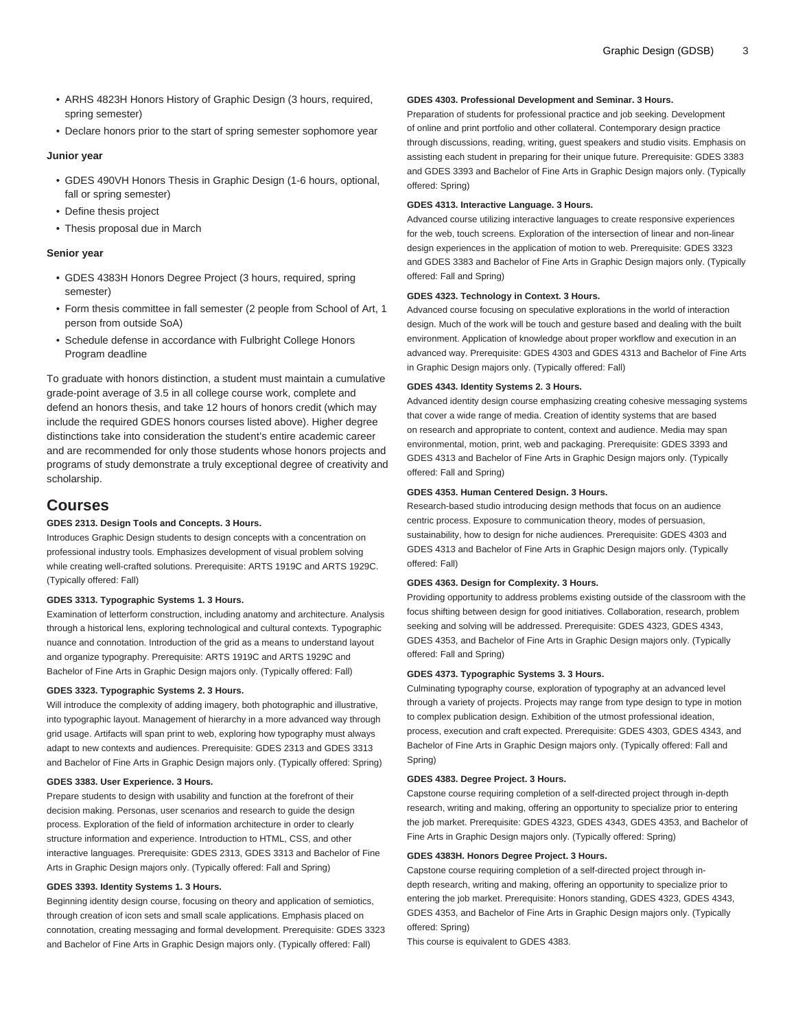- ARHS 4823H Honors History of Graphic Design (3 hours, required, spring semester)
- Declare honors prior to the start of spring semester sophomore year

#### **Junior year**

- GDES 490VH Honors Thesis in Graphic Design (1-6 hours, optional, fall or spring semester)
- Define thesis project
- Thesis proposal due in March

## **Senior year**

- GDES 4383H Honors Degree Project (3 hours, required, spring semester)
- Form thesis committee in fall semester (2 people from School of Art, 1 person from outside SoA)
- Schedule defense in accordance with Fulbright College Honors Program deadline

To graduate with honors distinction, a student must maintain a cumulative grade-point average of 3.5 in all college course work, complete and defend an honors thesis, and take 12 hours of honors credit (which may include the required GDES honors courses listed above). Higher degree distinctions take into consideration the student's entire academic career and are recommended for only those students whose honors projects and programs of study demonstrate a truly exceptional degree of creativity and scholarship.

# **Courses**

## **GDES 2313. Design Tools and Concepts. 3 Hours.**

Introduces Graphic Design students to design concepts with a concentration on professional industry tools. Emphasizes development of visual problem solving while creating well-crafted solutions. Prerequisite: [ARTS 1919C](/search/?P=ARTS%201919C) and [ARTS 1929C](/search/?P=ARTS%201929C). (Typically offered: Fall)

## **GDES 3313. Typographic Systems 1. 3 Hours.**

Examination of letterform construction, including anatomy and architecture. Analysis through a historical lens, exploring technological and cultural contexts. Typographic nuance and connotation. Introduction of the grid as a means to understand layout and organize typography. Prerequisite: [ARTS 1919C](/search/?P=ARTS%201919C) and [ARTS 1929C](/search/?P=ARTS%201929C) and Bachelor of Fine Arts in Graphic Design majors only. (Typically offered: Fall)

#### **GDES 3323. Typographic Systems 2. 3 Hours.**

Will introduce the complexity of adding imagery, both photographic and illustrative, into typographic layout. Management of hierarchy in a more advanced way through grid usage. Artifacts will span print to web, exploring how typography must always adapt to new contexts and audiences. Prerequisite: [GDES 2313](/search/?P=GDES%202313) and [GDES 3313](/search/?P=GDES%203313) and Bachelor of Fine Arts in Graphic Design majors only. (Typically offered: Spring)

#### **GDES 3383. User Experience. 3 Hours.**

Prepare students to design with usability and function at the forefront of their decision making. Personas, user scenarios and research to guide the design process. Exploration of the field of information architecture in order to clearly structure information and experience. Introduction to HTML, CSS, and other interactive languages. Prerequisite: [GDES 2313,](/search/?P=GDES%202313) [GDES 3313](/search/?P=GDES%203313) and Bachelor of Fine Arts in Graphic Design majors only. (Typically offered: Fall and Spring)

#### **GDES 3393. Identity Systems 1. 3 Hours.**

Beginning identity design course, focusing on theory and application of semiotics, through creation of icon sets and small scale applications. Emphasis placed on connotation, creating messaging and formal development. Prerequisite: [GDES 3323](/search/?P=GDES%203323) and Bachelor of Fine Arts in Graphic Design majors only. (Typically offered: Fall)

#### **GDES 4303. Professional Development and Seminar. 3 Hours.**

Preparation of students for professional practice and job seeking. Development of online and print portfolio and other collateral. Contemporary design practice through discussions, reading, writing, guest speakers and studio visits. Emphasis on assisting each student in preparing for their unique future. Prerequisite: [GDES 3383](/search/?P=GDES%203383) and [GDES 3393](/search/?P=GDES%203393) and Bachelor of Fine Arts in Graphic Design majors only. (Typically offered: Spring)

#### **GDES 4313. Interactive Language. 3 Hours.**

Advanced course utilizing interactive languages to create responsive experiences for the web, touch screens. Exploration of the intersection of linear and non-linear design experiences in the application of motion to web. Prerequisite: [GDES 3323](/search/?P=GDES%203323) and [GDES 3383](/search/?P=GDES%203383) and Bachelor of Fine Arts in Graphic Design majors only. (Typically offered: Fall and Spring)

# **GDES 4323. Technology in Context. 3 Hours.**

Advanced course focusing on speculative explorations in the world of interaction design. Much of the work will be touch and gesture based and dealing with the built environment. Application of knowledge about proper workflow and execution in an advanced way. Prerequisite: [GDES 4303](/search/?P=GDES%204303) and [GDES 4313](/search/?P=GDES%204313) and Bachelor of Fine Arts in Graphic Design majors only. (Typically offered: Fall)

#### **GDES 4343. Identity Systems 2. 3 Hours.**

Advanced identity design course emphasizing creating cohesive messaging systems that cover a wide range of media. Creation of identity systems that are based on research and appropriate to content, context and audience. Media may span environmental, motion, print, web and packaging. Prerequisite: [GDES 3393](/search/?P=GDES%203393) and [GDES 4313](/search/?P=GDES%204313) and Bachelor of Fine Arts in Graphic Design majors only. (Typically offered: Fall and Spring)

#### **GDES 4353. Human Centered Design. 3 Hours.**

Research-based studio introducing design methods that focus on an audience centric process. Exposure to communication theory, modes of persuasion, sustainability, how to design for niche audiences. Prerequisite: [GDES 4303](/search/?P=GDES%204303) and [GDES 4313](/search/?P=GDES%204313) and Bachelor of Fine Arts in Graphic Design majors only. (Typically offered: Fall)

#### **GDES 4363. Design for Complexity. 3 Hours.**

Providing opportunity to address problems existing outside of the classroom with the focus shifting between design for good initiatives. Collaboration, research, problem seeking and solving will be addressed. Prerequisite: [GDES 4323](/search/?P=GDES%204323), [GDES 4343](/search/?P=GDES%204343), [GDES 4353,](/search/?P=GDES%204353) and Bachelor of Fine Arts in Graphic Design majors only. (Typically offered: Fall and Spring)

#### **GDES 4373. Typographic Systems 3. 3 Hours.**

Culminating typography course, exploration of typography at an advanced level through a variety of projects. Projects may range from type design to type in motion to complex publication design. Exhibition of the utmost professional ideation, process, execution and craft expected. Prerequisite: [GDES 4303,](/search/?P=GDES%204303) [GDES 4343,](/search/?P=GDES%204343) and Bachelor of Fine Arts in Graphic Design majors only. (Typically offered: Fall and Spring)

#### **GDES 4383. Degree Project. 3 Hours.**

Capstone course requiring completion of a self-directed project through in-depth research, writing and making, offering an opportunity to specialize prior to entering the job market. Prerequisite: [GDES 4323](/search/?P=GDES%204323), [GDES 4343](/search/?P=GDES%204343), [GDES 4353,](/search/?P=GDES%204353) and Bachelor of Fine Arts in Graphic Design majors only. (Typically offered: Spring)

# **GDES 4383H. Honors Degree Project. 3 Hours.**

Capstone course requiring completion of a self-directed project through indepth research, writing and making, offering an opportunity to specialize prior to entering the job market. Prerequisite: Honors standing, [GDES 4323](/search/?P=GDES%204323), [GDES 4343](/search/?P=GDES%204343), [GDES 4353,](/search/?P=GDES%204353) and Bachelor of Fine Arts in Graphic Design majors only. (Typically offered: Spring)

This course is equivalent to [GDES 4383](/search/?P=GDES%204383).